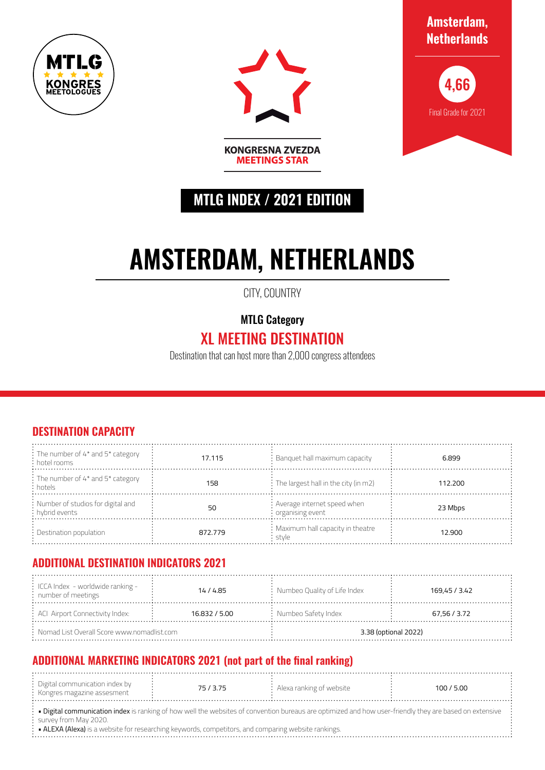



**Amsterdam, Netherlands**



# **MTLG INDEX / 2021 EDITION**

**MEETINGS STAR** 

# **AMSTERDAM, NETHERLANDS**

CITY, COUNTRY

MTLG Category

## XL MEETING DESTINATION

Destination that can host more than 2,000 congress attendees

#### **DESTINATION CAPACITY**

| : The number of 4* and 5* category<br>: hotel rooms    | 17.115  | $\therefore$ Banquet hall maximum capacity                | 6.899   |
|--------------------------------------------------------|---------|-----------------------------------------------------------|---------|
| : The number of 4* and 5* category<br>: hotels         | 158     | $\frac{1}{2}$ The largest hall in the city (in m2)        | 112.200 |
| : Number of studios for digital and<br>: hybrid events | 50      | : Average internet speed when<br>$\cdot$ organising event | 23 Mbps |
| $\therefore$ Destination population                    | 872.779 | : Maximum hall capacity in theatre<br>∶stvle              | 12.900  |

#### **ADDITIONAL DESTINATION INDICATORS 2021**

| $\frac{1}{2}$ ICCA Index - worldwide ranking -<br>$:$ number of meetings | 14/4.85       | : Numbeo Quality of Life Index | 169,45 / 3.42 |  |
|--------------------------------------------------------------------------|---------------|--------------------------------|---------------|--|
| : ACI Airport Connectivity Index:                                        | 16.832 / 5.00 | $:$ Numbeo Safety Index        | 67,56 / 3.72  |  |
| $\therefore$ Nomad List Overall Score www.nomadlist.com                  |               | 3.38 (optional 2022)           |               |  |

### **ADDITIONAL MARKETING INDICATORS 2021 (not part of the final ranking)**

| : Digital communication index by<br>· Kongres magazine assesment |  | $\therefore$ Alexa ranking of website | 100/5.00 |  |
|------------------------------------------------------------------|--|---------------------------------------|----------|--|
|                                                                  |  |                                       |          |  |

· Digital communication index is ranking of how well the websites of convention bureaus are optimized and how user-friendly they are based on extensive survey from May 2020.

• ALEXA (Alexa) is a website for researching keywords, competitors, and comparing website rankings.